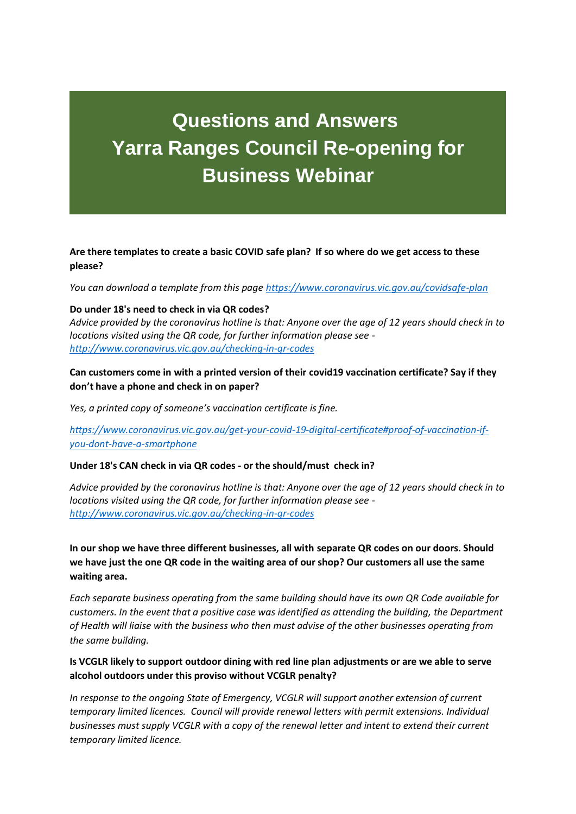# **Questions and Answers Yarra Ranges Council Re-opening for Business Webinar**

**Are there templates to create a basic COVID safe plan? If so where do we get access to these please?**

*You can download a template from this pag[e https://www.coronavirus.vic.gov.au/covidsafe-plan](https://www.coronavirus.vic.gov.au/covidsafe-plan)*

## **Do under 18's need to check in via QR codes?**

*Advice provided by the coronavirus hotline is that: Anyone over the age of 12 years should check in to locations visited using the QR code, for further information please see <http://www.coronavirus.vic.gov.au/checking-in-qr-codes>*

**Can customers come in with a printed version of their covid19 vaccination certificate? Say if they don't have a phone and check in on paper?**

*Yes, a printed copy of someone's vaccination certificate is fine.*

*[https://www.coronavirus.vic.gov.au/get-your-covid-19-digital-certificate#proof-of-vaccination-if](https://www.coronavirus.vic.gov.au/get-your-covid-19-digital-certificate%23proof-of-vaccination-if-you-dont-have-a-smartphone)[you-dont-have-a-smartphone](https://www.coronavirus.vic.gov.au/get-your-covid-19-digital-certificate%23proof-of-vaccination-if-you-dont-have-a-smartphone)*

## **Under 18's CAN check in via QR codes - or the should/must check in?**

*Advice provided by the coronavirus hotline is that: Anyone over the age of 12 years should check in to locations visited using the QR code, for further information please see <http://www.coronavirus.vic.gov.au/checking-in-qr-codes>*

**In our shop we have three different businesses, all with separate QR codes on our doors. Should we have just the one QR code in the waiting area of our shop? Our customers all use the same waiting area.**

*Each separate business operating from the same building should have its own QR Code available for customers. In the event that a positive case was identified as attending the building, the Department of Health will liaise with the business who then must advise of the other businesses operating from the same building.*

# **Is VCGLR likely to support outdoor dining with red line plan adjustments or are we able to serve alcohol outdoors under this proviso without VCGLR penalty?**

*In response to the ongoing State of Emergency, VCGLR will support another extension of current temporary limited licences. Council will provide renewal letters with permit extensions. Individual businesses must supply VCGLR with a copy of the renewal letter and intent to extend their current temporary limited licence.*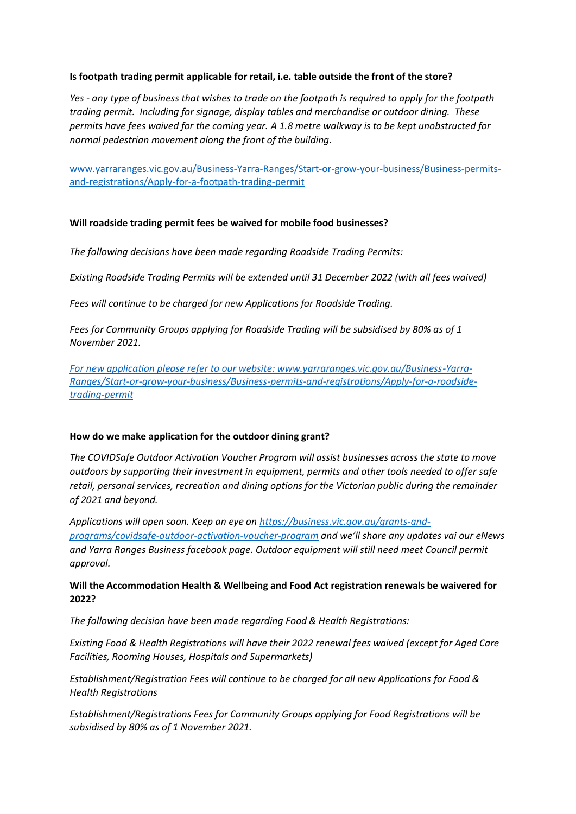# **Is footpath trading permit applicable for retail, i.e. table outside the front of the store?**

*Yes - any type of business that wishes to trade on the footpath is required to apply for the footpath trading permit. Including for signage, display tables and merchandise or outdoor dining. These permits have fees waived for the coming year. A 1.8 metre walkway is to be kept unobstructed for normal pedestrian movement along the front of the building.*

[www.yarraranges.vic.gov.au/Business-Yarra-Ranges/Start-or-grow-your-business/Business-permits](www.yarraranges.vic.gov.au/Business-Yarra-Ranges/Start-or-grow-your-business/Business-permits-and-registrations/Apply-for-a-footpath-trading-permit)[and-registrations/Apply-for-a-footpath-trading-permit](www.yarraranges.vic.gov.au/Business-Yarra-Ranges/Start-or-grow-your-business/Business-permits-and-registrations/Apply-for-a-footpath-trading-permit)

## **Will roadside trading permit fees be waived for mobile food businesses?**

*The following decisions have been made regarding Roadside Trading Permits:*

*Existing Roadside Trading Permits will be extended until 31 December 2022 (with all fees waived)* 

*Fees will continue to be charged for new Applications for Roadside Trading.* 

*Fees for Community Groups applying for Roadside Trading will be subsidised by 80% as of 1 November 2021.* 

*[For new application please refer to our website: www.yarraranges.vic.gov.au/Business-Yarra-](For%20new%20application%20please%20refer%20to%20our%20website:%20www.yarraranges.vic.gov.au/Business-Yarra-Ranges/Start-or-grow-your-business/Business-permits-and-registrations/Apply-for-a-roadside-trading-permit)[Ranges/Start-or-grow-your-business/Business-permits-and-registrations/Apply-for-a-roadside](For%20new%20application%20please%20refer%20to%20our%20website:%20www.yarraranges.vic.gov.au/Business-Yarra-Ranges/Start-or-grow-your-business/Business-permits-and-registrations/Apply-for-a-roadside-trading-permit)[trading-permit](For%20new%20application%20please%20refer%20to%20our%20website:%20www.yarraranges.vic.gov.au/Business-Yarra-Ranges/Start-or-grow-your-business/Business-permits-and-registrations/Apply-for-a-roadside-trading-permit)*

## **How do we make application for the outdoor dining grant?**

*The COVIDSafe Outdoor Activation Voucher Program will assist businesses across the state to move outdoors by supporting their investment in equipment, permits and other tools needed to offer safe retail, personal services, recreation and dining options for the Victorian public during the remainder of 2021 and beyond.*

*Applications will open soon. Keep an eye on [https://business.vic.gov.au/grants-and](https://business.vic.gov.au/grants-and-programs/covidsafe-outdoor-activation-voucher-program)[programs/covidsafe-outdoor-activation-voucher-program](https://business.vic.gov.au/grants-and-programs/covidsafe-outdoor-activation-voucher-program) and we'll share any updates vai our eNews and Yarra Ranges Business facebook page. Outdoor equipment will still need meet Council permit approval.* 

# **Will the Accommodation Health & Wellbeing and Food Act registration renewals be waivered for 2022?**

*The following decision have been made regarding Food & Health Registrations:*

*Existing Food & Health Registrations will have their 2022 renewal fees waived (except for Aged Care Facilities, Rooming Houses, Hospitals and Supermarkets)* 

*Establishment/Registration Fees will continue to be charged for all new Applications for Food & Health Registrations*

*Establishment/Registrations Fees for Community Groups applying for Food Registrations will be subsidised by 80% as of 1 November 2021.*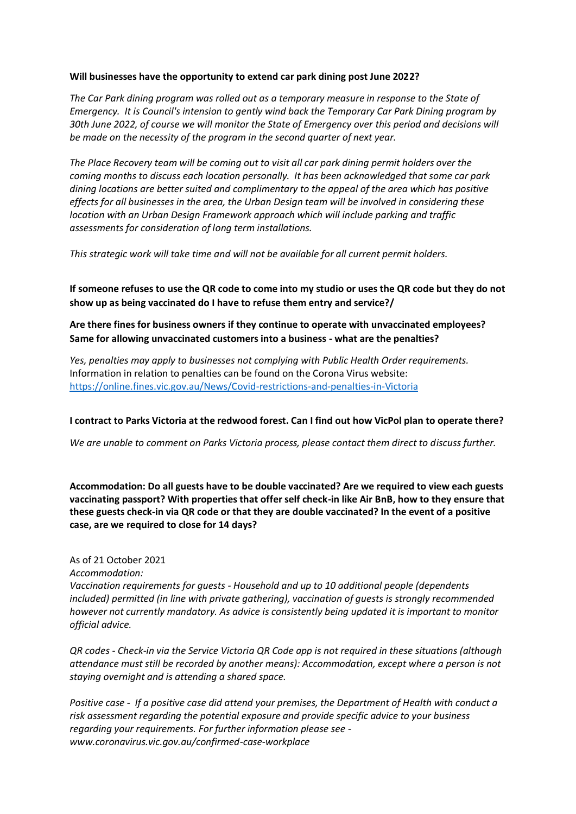#### **Will businesses have the opportunity to extend car park dining post June 2022?**

*The Car Park dining program was rolled out as a temporary measure in response to the State of Emergency. It is Council's intension to gently wind back the Temporary Car Park Dining program by 30th June 2022, of course we will monitor the State of Emergency over this period and decisions will be made on the necessity of the program in the second quarter of next year.* 

*The Place Recovery team will be coming out to visit all car park dining permit holders over the coming months to discuss each location personally. It has been acknowledged that some car park dining locations are better suited and complimentary to the appeal of the area which has positive effects for all businesses in the area, the Urban Design team will be involved in considering these location with an Urban Design Framework approach which will include parking and traffic assessments for consideration of long term installations.* 

*This strategic work will take time and will not be available for all current permit holders.* 

**If someone refuses to use the QR code to come into my studio or uses the QR code but they do not show up as being vaccinated do I have to refuse them entry and service?/**

**Are there fines for business owners if they continue to operate with unvaccinated employees? Same for allowing unvaccinated customers into a business - what are the penalties?**

*Yes, penalties may apply to businesses not complying with Public Health Order requirements.* Information in relation to penalties can be found on the Corona Virus website: <https://online.fines.vic.gov.au/News/Covid-restrictions-and-penalties-in-Victoria>

## **I contract to Parks Victoria at the redwood forest. Can I find out how VicPol plan to operate there?**

*We are unable to comment on Parks Victoria process, please contact them direct to discuss further.*

**Accommodation: Do all guests have to be double vaccinated? Are we required to view each guests vaccinating passport? With properties that offer self check-in like Air BnB, how to they ensure that these guests check-in via QR code or that they are double vaccinated? In the event of a positive case, are we required to close for 14 days?** 

As of 21 October 2021 *Accommodation: Vaccination requirements for guests - Household and up to 10 additional people (dependents included) permitted (in line with private gathering), vaccination of guests is strongly recommended however not currently mandatory. As advice is consistently being updated it is important to monitor official advice.* 

*QR codes - Check-in via the Service Victoria QR Code app is not required in these situations (although attendance must still be recorded by another means): Accommodation, except where a person is not staying overnight and is attending a shared space.* 

*Positive case - If a positive case did attend your premises, the Department of Health with conduct a risk assessment regarding the potential exposure and provide specific advice to your business regarding your requirements. For further information please see www.coronavirus.vic.gov.au/confirmed-case-workplace*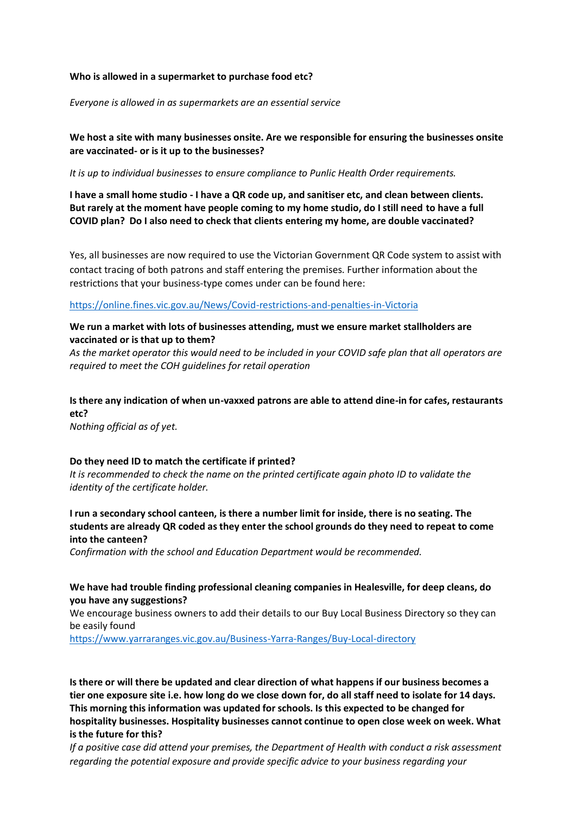## **Who is allowed in a supermarket to purchase food etc?**

*Everyone is allowed in as supermarkets are an essential service*

# **We host a site with many businesses onsite. Are we responsible for ensuring the businesses onsite are vaccinated- or is it up to the businesses?**

*It is up to individual businesses to ensure compliance to Punlic Health Order requirements.*

**I have a small home studio - I have a QR code up, and sanitiser etc, and clean between clients. But rarely at the moment have people coming to my home studio, do I still need to have a full COVID plan? Do I also need to check that clients entering my home, are double vaccinated?**

Yes, all businesses are now required to use the Victorian Government QR Code system to assist with contact tracing of both patrons and staff entering the premises. Further information about the restrictions that your business-type comes under can be found here:

<https://online.fines.vic.gov.au/News/Covid-restrictions-and-penalties-in-Victoria>

# **We run a market with lots of businesses attending, must we ensure market stallholders are vaccinated or is that up to them?**

*As the market operator this would need to be included in your COVID safe plan that all operators are required to meet the COH guidelines for retail operation*

# **Is there any indication of when un-vaxxed patrons are able to attend dine-in for cafes, restaurants etc?**

*Nothing official as of yet.* 

## **Do they need ID to match the certificate if printed?**

*It is recommended to check the name on the printed certificate again photo ID to validate the identity of the certificate holder.*

**I run a secondary school canteen, is there a number limit for inside, there is no seating. The students are already QR coded as they enter the school grounds do they need to repeat to come into the canteen?**

*Confirmation with the school and Education Department would be recommended.*

# **We have had trouble finding professional cleaning companies in Healesville, for deep cleans, do you have any suggestions?**

We encourage business owners to add their details to our Buy Local Business Directory so they can be easily found

<https://www.yarraranges.vic.gov.au/Business-Yarra-Ranges/Buy-Local-directory>

**Is there or will there be updated and clear direction of what happens if our business becomes a tier one exposure site i.e. how long do we close down for, do all staff need to isolate for 14 days. This morning this information was updated for schools. Is this expected to be changed for hospitality businesses. Hospitality businesses cannot continue to open close week on week. What is the future for this?**

*If a positive case did attend your premises, the Department of Health with conduct a risk assessment regarding the potential exposure and provide specific advice to your business regarding your*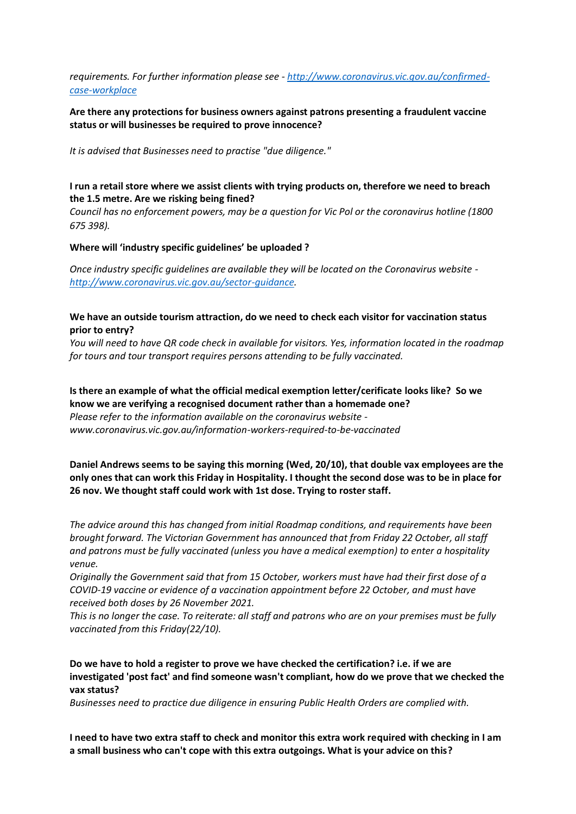# *requirements. For further information please see - [http://www.coronavirus.vic.gov.au/confirmed](http://www.coronavirus.vic.gov.au/confirmed-case-workplace)[case-workplace](http://www.coronavirus.vic.gov.au/confirmed-case-workplace)*

# **Are there any protections for business owners against patrons presenting a fraudulent vaccine status or will businesses be required to prove innocence?**

*It is advised that Businesses need to practise "due diligence."*

# **I run a retail store where we assist clients with trying products on, therefore we need to breach the 1.5 metre. Are we risking being fined?**

*Council has no enforcement powers, may be a question for Vic Pol or the coronavirus hotline (1800 675 398).*

#### **Where will 'industry specific guidelines' be uploaded ?**

*Once industry specific guidelines are available they will be located on the Coronavirus website [http://www.coronavirus.vic.gov.au/sector-guidance.](http://www.coronavirus.vic.gov.au/sector-guidance)*

## **We have an outside tourism attraction, do we need to check each visitor for vaccination status prior to entry?**

*You will need to have QR code check in available for visitors. Yes, information located in the roadmap for tours and tour transport requires persons attending to be fully vaccinated.*

**Is there an example of what the official medical exemption letter/cerificate looks like? So we know we are verifying a recognised document rather than a homemade one?** *Please refer to the information available on the coronavirus website www.coronavirus.vic.gov.au/information-workers-required-to-be-vaccinated*

# **Daniel Andrews seems to be saying this morning (Wed, 20/10), that double vax employees are the only ones that can work this Friday in Hospitality. I thought the second dose was to be in place for 26 nov. We thought staff could work with 1st dose. Trying to roster staff.**

*The advice around this has changed from initial Roadmap conditions, and requirements have been brought forward. The Victorian Government has announced that from Friday 22 October, all staff and patrons must be fully vaccinated (unless you have a medical exemption) to enter a hospitality venue.* 

*Originally the Government said that from 15 October, workers must have had their first dose of a COVID-19 vaccine or evidence of a vaccination appointment before 22 October, and must have received both doses by 26 November 2021.*

*This is no longer the case. To reiterate: all staff and patrons who are on your premises must be fully vaccinated from this Friday(22/10).*

# **Do we have to hold a register to prove we have checked the certification? i.e. if we are investigated 'post fact' and find someone wasn't compliant, how do we prove that we checked the vax status?**

*Businesses need to practice due diligence in ensuring Public Health Orders are complied with.*

**I need to have two extra staff to check and monitor this extra work required with checking in I am a small business who can't cope with this extra outgoings. What is your advice on this?**